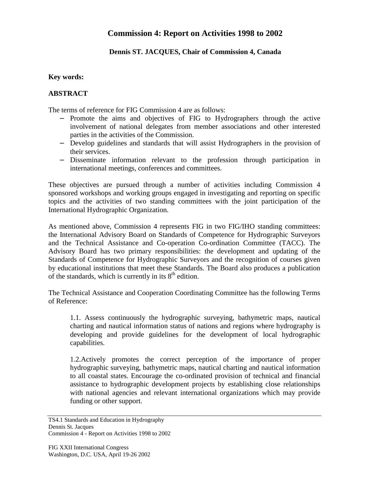# **Commission 4: Report on Activities 1998 to 2002**

### **Dennis ST. JACQUES, Chair of Commission 4, Canada**

#### **Key words:**

#### **ABSTRACT**

The terms of reference for FIG Commission 4 are as follows:

- − Promote the aims and objectives of FIG to Hydrographers through the active involvement of national delegates from member associations and other interested parties in the activities of the Commission.
- − Develop guidelines and standards that will assist Hydrographers in the provision of their services.
- − Disseminate information relevant to the profession through participation in international meetings, conferences and committees.

These objectives are pursued through a number of activities including Commission 4 sponsored workshops and working groups engaged in investigating and reporting on specific topics and the activities of two standing committees with the joint participation of the International Hydrographic Organization.

As mentioned above, Commission 4 represents FIG in two FIG/IHO standing committees: the International Advisory Board on Standards of Competence for Hydrographic Surveyors and the Technical Assistance and Co-operation Co-ordination Committee (TACC). The Advisory Board has two primary responsibilities: the development and updating of the Standards of Competence for Hydrographic Surveyors and the recognition of courses given by educational institutions that meet these Standards. The Board also produces a publication of the standards, which is currently in its  $8<sup>th</sup>$  edition.

The Technical Assistance and Cooperation Coordinating Committee has the following Terms of Reference:

1.1. Assess continuously the hydrographic surveying, bathymetric maps, nautical charting and nautical information status of nations and regions where hydrography is developing and provide guidelines for the development of local hydrographic capabilities.

1.2.Actively promotes the correct perception of the importance of proper hydrographic surveying, bathymetric maps, nautical charting and nautical information to all coastal states. Encourage the co-ordinated provision of technical and financial assistance to hydrographic development projects by establishing close relationships with national agencies and relevant international organizations which may provide funding or other support.

TS4.1 Standards and Education in Hydrography Dennis St. Jacques Commission 4 - Report on Activities 1998 to 2002